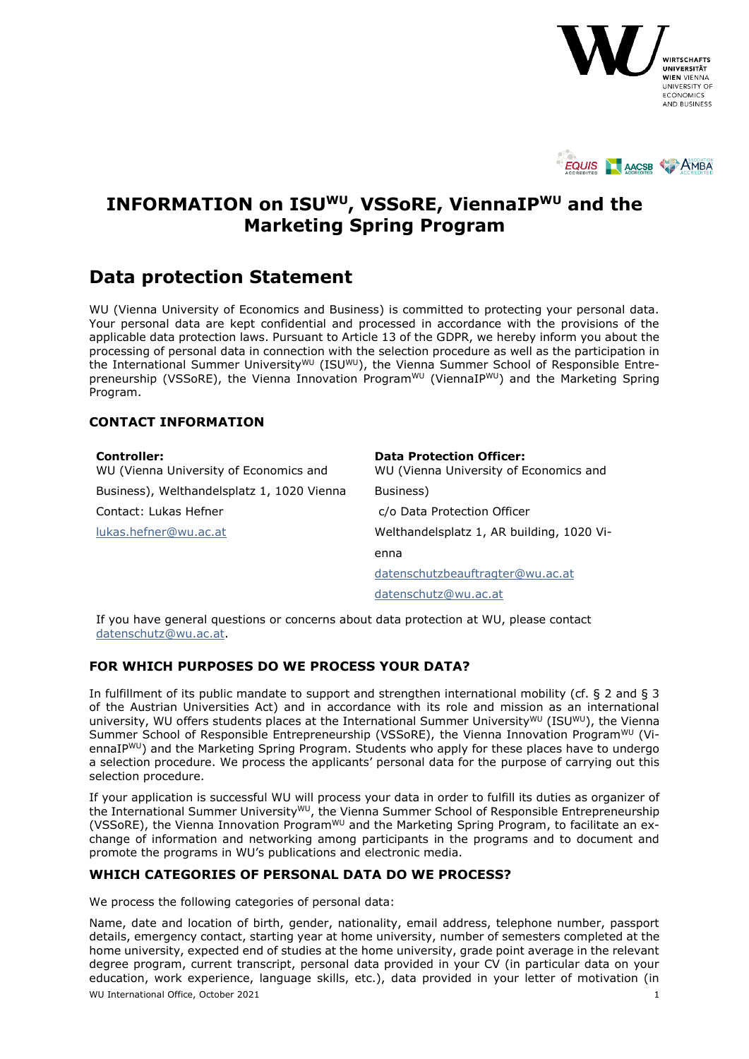



# **INFORMATION on ISUWU , VSSoRE, ViennaIPWU and the Marketing Spring Program**

## **Data protection Statement**

WU (Vienna University of Economics and Business) is committed to protecting your personal data. Your personal data are kept confidential and processed in accordance with the provisions of the applicable data protection laws. Pursuant to Article 13 of the GDPR, we hereby inform you about the processing of personal data in connection with the selection procedure as well as the participation in the International Summer University<sup>WU</sup> (ISU<sup>WU</sup>), the Vienna Summer School of Responsible Entrepreneurship (VSSoRE), the Vienna Innovation ProgramWU (ViennaIPWU) and the Marketing Spring Program.

## **CONTACT INFORMATION**

| Controller:<br>WU (Vienna University of Economics and | <b>Data Protection Officer:</b><br>WU (Vienna University of Economics and |
|-------------------------------------------------------|---------------------------------------------------------------------------|
| Business), Welthandelsplatz 1, 1020 Vienna            | Business)                                                                 |
| Contact: Lukas Hefner                                 | c/o Data Protection Officer                                               |
| lukas.hefner@wu.ac.at                                 | Welthandelsplatz 1, AR building, 1020 Vi-                                 |
|                                                       | enna                                                                      |
|                                                       | datenschutzbeauftragter@wu.ac.at                                          |
|                                                       | datenschutz@wu.ac.at                                                      |

If you have general questions or concerns about data protection at WU, please contact [datenschutz@wu.ac.at.](mailto:datenschutz@wu.ac.at)

## **FOR WHICH PURPOSES DO WE PROCESS YOUR DATA?**

In fulfillment of its public mandate to support and strengthen international mobility (cf. § 2 and § 3 of the Austrian Universities Act) and in accordance with its role and mission as an international university, WU offers students places at the International Summer University<sup>WU</sup> (ISU<sup>WU</sup>), the Vienna Summer School of Responsible Entrepreneurship (VSSoRE), the Vienna Innovation Program<sup>WU</sup> (ViennaIPWU) and the Marketing Spring Program. Students who apply for these places have to undergo a selection procedure. We process the applicants' personal data for the purpose of carrying out this selection procedure.

If your application is successful WU will process your data in order to fulfill its duties as organizer of the International Summer UniversityWU, the Vienna Summer School of Responsible Entrepreneurship (VSSoRE), the Vienna Innovation ProgramWU and the Marketing Spring Program, to facilitate an exchange of information and networking among participants in the programs and to document and promote the programs in WU's publications and electronic media.

## **WHICH CATEGORIES OF PERSONAL DATA DO WE PROCESS?**

We process the following categories of personal data:

WU International Office, October 2021 1 Name, date and location of birth, gender, nationality, email address, telephone number, passport details, emergency contact, starting year at home university, number of semesters completed at the home university, expected end of studies at the home university, grade point average in the relevant degree program, current transcript, personal data provided in your CV (in particular data on your education, work experience, language skills, etc.), data provided in your letter of motivation (in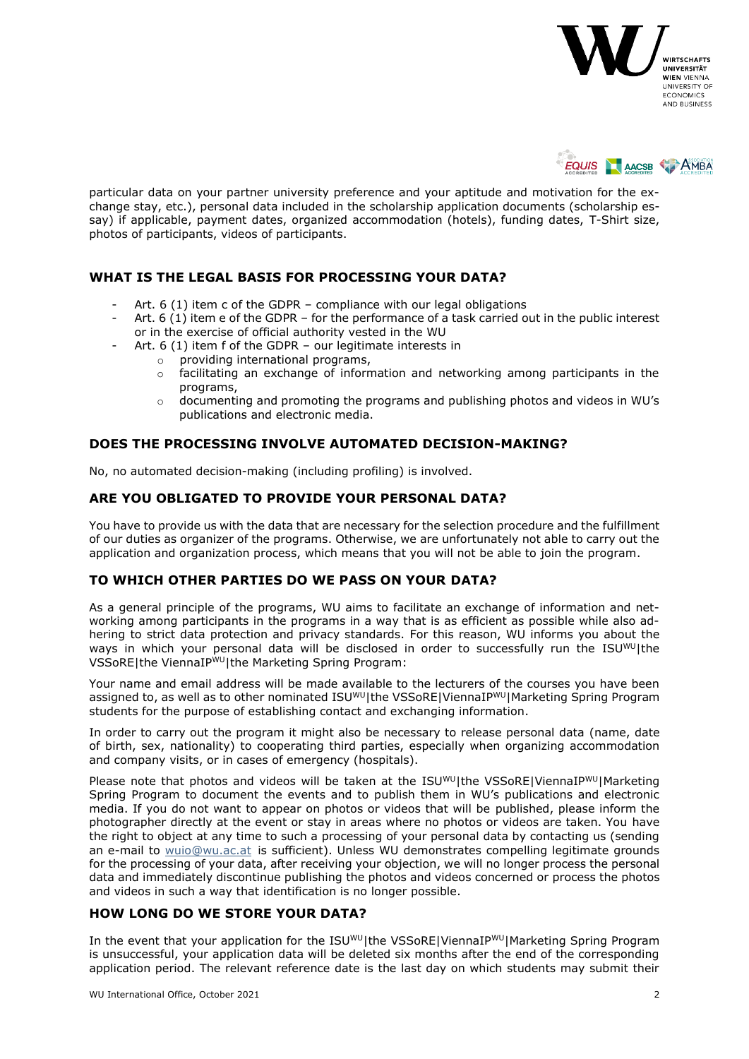



particular data on your partner university preference and your aptitude and motivation for the exchange stay, etc.), personal data included in the scholarship application documents (scholarship essay) if applicable, payment dates, organized accommodation (hotels), funding dates, T-Shirt size, photos of participants, videos of participants.

## **WHAT IS THE LEGAL BASIS FOR PROCESSING YOUR DATA?**

- Art. 6 (1) item c of the GDPR compliance with our legal obligations
- Art. 6 (1) item e of the GDPR for the performance of a task carried out in the public interest or in the exercise of official authority vested in the WU
	- Art. 6 (1) item f of the GDPR our legitimate interests in
		- o providing international programs,
		- $\circ$  facilitating an exchange of information and networking among participants in the programs,
		- $\circ$  documenting and promoting the programs and publishing photos and videos in WU's publications and electronic media.

## **DOES THE PROCESSING INVOLVE AUTOMATED DECISION-MAKING?**

No, no automated decision-making (including profiling) is involved.

## **ARE YOU OBLIGATED TO PROVIDE YOUR PERSONAL DATA?**

You have to provide us with the data that are necessary for the selection procedure and the fulfillment of our duties as organizer of the programs. Otherwise, we are unfortunately not able to carry out the application and organization process, which means that you will not be able to join the program.

## **TO WHICH OTHER PARTIES DO WE PASS ON YOUR DATA?**

As a general principle of the programs, WU aims to facilitate an exchange of information and networking among participants in the programs in a way that is as efficient as possible while also adhering to strict data protection and privacy standards. For this reason, WU informs you about the ways in which your personal data will be disclosed in order to successfully run the ISUWU|the VSSoRE|the ViennaIPWU|the Marketing Spring Program:

Your name and email address will be made available to the lecturers of the courses you have been assigned to, as well as to other nominated ISUWU|the VSSoRE|ViennaIPWU|Marketing Spring Program students for the purpose of establishing contact and exchanging information.

In order to carry out the program it might also be necessary to release personal data (name, date of birth, sex, nationality) to cooperating third parties, especially when organizing accommodation and company visits, or in cases of emergency (hospitals).

Please note that photos and videos will be taken at the ISU<sup>WU</sup>|the VSSoRE|ViennaIP<sup>WU</sup>|Marketing Spring Program to document the events and to publish them in WU's publications and electronic media. If you do not want to appear on photos or videos that will be published, please inform the photographer directly at the event or stay in areas where no photos or videos are taken. You have the right to object at any time to such a processing of your personal data by contacting us (sending an e-mail to [wuio@wu.ac.at](mailto:wuio@wu.ac.at) is sufficient). Unless WU demonstrates compelling legitimate grounds for the processing of your data, after receiving your objection, we will no longer process the personal data and immediately discontinue publishing the photos and videos concerned or process the photos and videos in such a way that identification is no longer possible.

## **HOW LONG DO WE STORE YOUR DATA?**

In the event that your application for the ISU<sup>WU</sup>|the VSSoRE|ViennaIP<sup>WU</sup>|Marketing Spring Program is unsuccessful, your application data will be deleted six months after the end of the corresponding application period. The relevant reference date is the last day on which students may submit their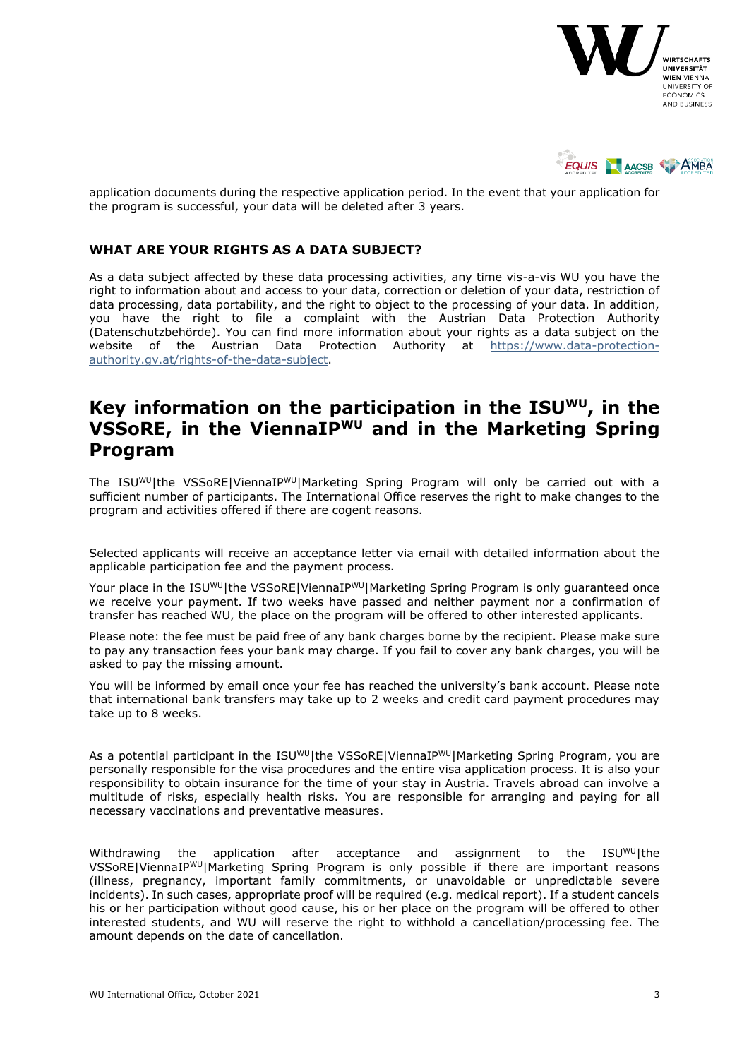



application documents during the respective application period. In the event that your application for the program is successful, your data will be deleted after 3 years.

## **WHAT ARE YOUR RIGHTS AS A DATA SUBJECT?**

As a data subject affected by these data processing activities, any time vis-a-vis WU you have the right to information about and access to your data, correction or deletion of your data, restriction of data processing, data portability, and the right to object to the processing of your data. In addition, you have the right to file a complaint with the Austrian Data Protection Authority (Datenschutzbehörde). You can find more information about your rights as a data subject on the website of the Austrian Data Protection Authority at [https://www.data-protection](https://www.data-protection-authority.gv.at/rights-of-the-data-subject)[authority.gv.at/rights-of-the-data-subject.](https://www.data-protection-authority.gv.at/rights-of-the-data-subject)

## **Key information on the participation in the ISUWU , in the VSSoRE, in the ViennaIPWU and in the Marketing Spring Program**

The ISUWU|the VSSoRE|ViennaIPWU|Marketing Spring Program will only be carried out with a sufficient number of participants. The International Office reserves the right to make changes to the program and activities offered if there are cogent reasons.

Selected applicants will receive an acceptance letter via email with detailed information about the applicable participation fee and the payment process.

Your place in the ISU<sup>WU</sup>|the VSSoRE|ViennaIP<sup>WU</sup>|Marketing Spring Program is only guaranteed once we receive your payment. If two weeks have passed and neither payment nor a confirmation of transfer has reached WU, the place on the program will be offered to other interested applicants.

Please note: the fee must be paid free of any bank charges borne by the recipient. Please make sure to pay any transaction fees your bank may charge. If you fail to cover any bank charges, you will be asked to pay the missing amount.

You will be informed by email once your fee has reached the university's bank account. Please note that international bank transfers may take up to 2 weeks and credit card payment procedures may take up to 8 weeks.

As a potential participant in the ISU<sup>WU</sup>|the VSSoRE|ViennaIP<sup>WU</sup>|Marketing Spring Program, you are personally responsible for the visa procedures and the entire visa application process. It is also your responsibility to obtain insurance for the time of your stay in Austria. Travels abroad can involve a multitude of risks, especially health risks. You are responsible for arranging and paying for all necessary vaccinations and preventative measures.

Withdrawing the application after acceptance and assignment to the ISUWU|the VSSoRE|ViennaIPWU|Marketing Spring Program is only possible if there are important reasons (illness, pregnancy, important family commitments, or unavoidable or unpredictable severe incidents). In such cases, appropriate proof will be required (e.g. medical report). If a student cancels his or her participation without good cause, his or her place on the program will be offered to other interested students, and WU will reserve the right to withhold a cancellation/processing fee. The amount depends on the date of cancellation.